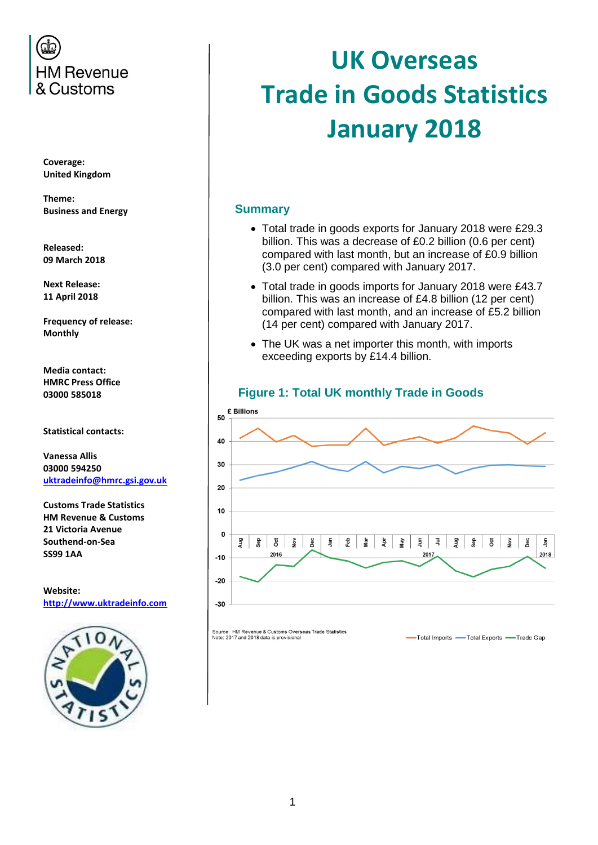

**Coverage: United Kingdom**

**Theme: Business and Energy**

**Released: 09 March 2018**

**Next Release: 11 April 2018**

**Frequency of release: Monthly**

**Media contact: HMRC Press Office 03000 585018**

**Statistical contacts:**

**Vanessa Allis 03000 594250 [uktradeinfo@hmrc.gsi.gov.uk](mailto:uktradeinfo@hmrc.gsi.gov.uk)**

**Customs Trade Statistics HM Revenue & Customs 21 Victoria Avenue Southend-on-Sea SS99 1AA**

**Website: [http://www.uktradeinfo.com](http://www.uktradeinfo.com/)**



# **UK Overseas Trade in Goods Statistics January 2018**

#### **Summary**

- Total trade in goods exports for January 2018 were £29.3 billion. This was a decrease of £0.2 billion (0.6 per cent) compared with last month, but an increase of £0.9 billion (3.0 per cent) compared with January 2017.
- Total trade in goods imports for January 2018 were £43.7 billion. This was an increase of £4.8 billion (12 per cent) compared with last month, and an increase of £5.2 billion (14 per cent) compared with January 2017.
- The UK was a net importer this month, with imports exceeding exports by £14.4 billion.



Source: HM Revenue & Customs Overseas Trade Statistics<br>Note: 2017 and 2018 data is provisional

-Total Imports -Total Exports -Trade Gap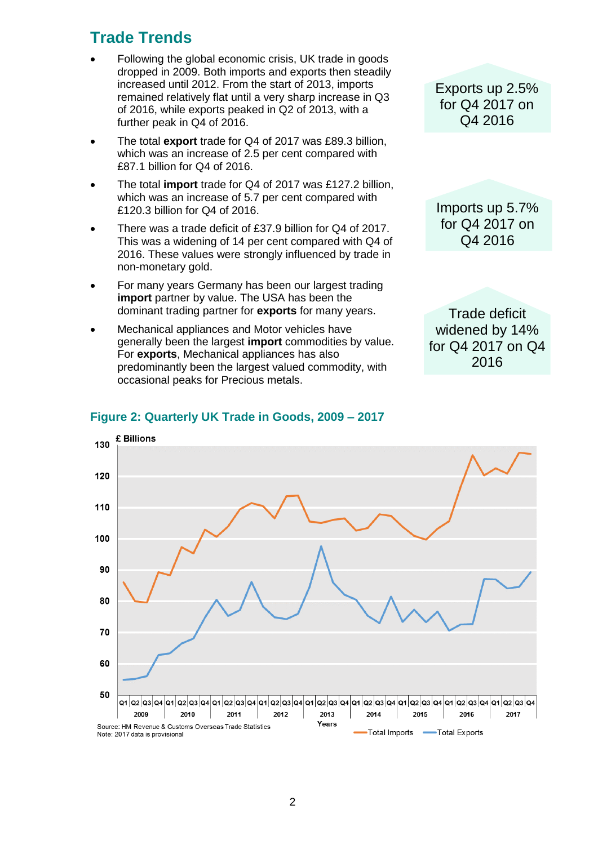# **Trade Trends**

- Following the global economic crisis, UK trade in goods dropped in 2009. Both imports and exports then steadily increased until 2012. From the start of 2013, imports remained relatively flat until a very sharp increase in Q3 of 2016, while exports peaked in Q2 of 2013, with a further peak in Q4 of 2016.
- The total **export** trade for Q4 of 2017 was £89.3 billion, which was an increase of 2.5 per cent compared with £87.1 billion for Q4 of 2016.
- The total **import** trade for Q4 of 2017 was £127.2 billion, which was an increase of 5.7 per cent compared with £120.3 billion for Q4 of 2016.
- There was a trade deficit of £37.9 billion for Q4 of 2017. This was a widening of 14 per cent compared with Q4 of 2016. These values were strongly influenced by trade in non-monetary gold.
- For many years Germany has been our largest trading **import** partner by value. The USA has been the dominant trading partner for **exports** for many years.
- Mechanical appliances and Motor vehicles have generally been the largest **import** commodities by value. For **exports**, Mechanical appliances has also predominantly been the largest valued commodity, with occasional peaks for Precious metals.

Exports up 2.5% for Q4 2017 on Q4 2016

Imports up 5.7% for Q4 2017 on Q4 2016

Trade deficit widened by 14% for Q4 2017 on Q4 2016



#### **Figure 2: Quarterly UK Trade in Goods, 2009 – 2017**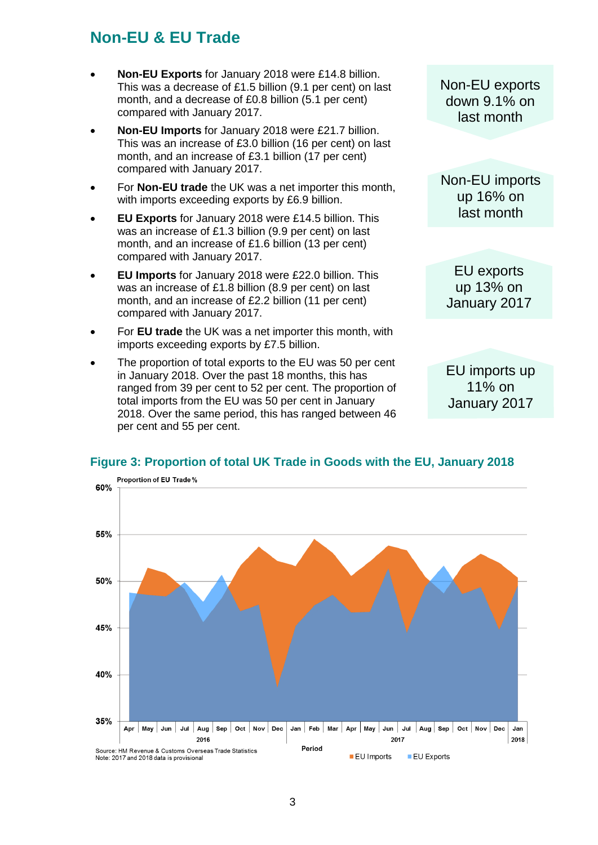# **Non-EU & EU Trade**

- **Non-EU Exports** for January 2018 were £14.8 billion. This was a decrease of £1.5 billion (9.1 per cent) on last month, and a decrease of £0.8 billion (5.1 per cent) compared with January 2017.
- **Non-EU Imports** for January 2018 were £21.7 billion. This was an increase of £3.0 billion (16 per cent) on last month, and an increase of £3.1 billion (17 per cent) compared with January 2017.
- For **Non-EU trade** the UK was a net importer this month, with imports exceeding exports by £6.9 billion.
- **EU Exports** for January 2018 were £14.5 billion. This was an increase of £1.3 billion (9.9 per cent) on last month, and an increase of £1.6 billion (13 per cent) compared with January 2017.
- **EU Imports** for January 2018 were £22.0 billion. This was an increase of £1.8 billion (8.9 per cent) on last month, and an increase of £2.2 billion (11 per cent) compared with January 2017.
- For **EU trade** the UK was a net importer this month, with imports exceeding exports by £7.5 billion.
- The proportion of total exports to the EU was 50 per cent in January 2018. Over the past 18 months, this has ranged from 39 per cent to 52 per cent. The proportion of total imports from the EU was 50 per cent in January 2018. Over the same period, this has ranged between 46 per cent and 55 per cent.

Non-EU exports down 9.1% on last month

Non-EU imports up 16% on last month

EU exports up 13% on January 2017

EU imports up 11% on January 2017

#### **Figure 3: Proportion of total UK Trade in Goods with the EU, January 2018**

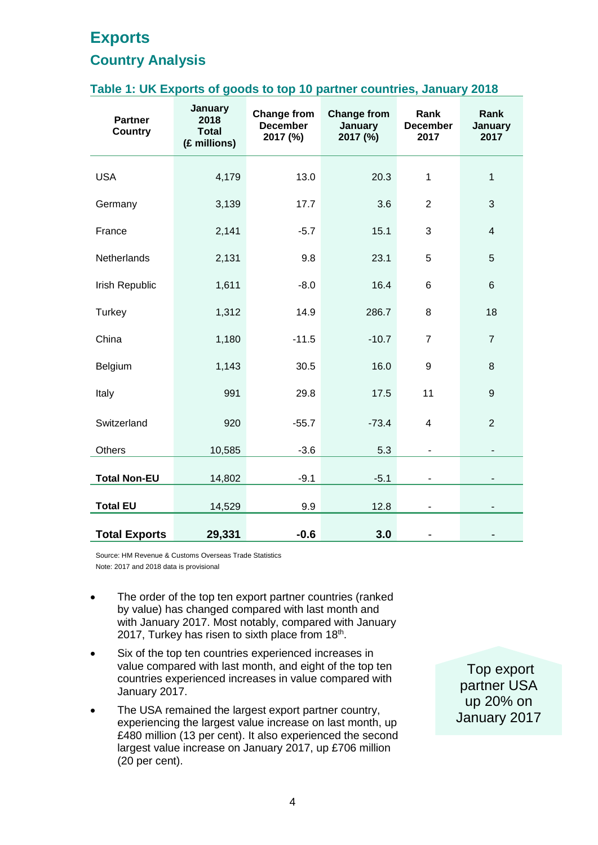# **Exports**

#### **Country Analysis**

#### **Table 1: UK Exports of goods to top 10 partner countries, January 2018**

| <b>Partner</b><br><b>Country</b> | January<br>2018<br><b>Total</b><br>(£ millions) | <b>Change from</b><br><b>December</b><br>2017 (%) | <b>Change from</b><br>January<br>2017 (%) | Rank<br><b>December</b><br>2017 | Rank<br>January<br>2017 |
|----------------------------------|-------------------------------------------------|---------------------------------------------------|-------------------------------------------|---------------------------------|-------------------------|
| <b>USA</b>                       | 4,179                                           | 13.0                                              | 20.3                                      | $\mathbf{1}$                    | $\mathbf{1}$            |
| Germany                          | 3,139                                           | 17.7                                              | 3.6                                       | $\overline{2}$                  | 3                       |
| France                           | 2,141                                           | $-5.7$                                            | 15.1                                      | 3                               | $\overline{4}$          |
| Netherlands                      | 2,131                                           | 9.8                                               | 23.1                                      | 5                               | 5                       |
| Irish Republic                   | 1,611                                           | $-8.0$                                            | 16.4                                      | $\,6$                           | 6                       |
| Turkey                           | 1,312                                           | 14.9                                              | 286.7                                     | 8                               | 18                      |
| China                            | 1,180                                           | $-11.5$                                           | $-10.7$                                   | $\overline{7}$                  | $\overline{7}$          |
| Belgium                          | 1,143                                           | 30.5                                              | 16.0                                      | $\boldsymbol{9}$                | 8                       |
| Italy                            | 991                                             | 29.8                                              | 17.5                                      | 11                              | 9                       |
| Switzerland                      | 920                                             | $-55.7$                                           | $-73.4$                                   | $\overline{\mathbf{4}}$         | $\overline{2}$          |
| <b>Others</b>                    | 10,585                                          | $-3.6$                                            | 5.3                                       | ÷,                              | $\blacksquare$          |
| <b>Total Non-EU</b>              | 14,802                                          | $-9.1$                                            | $-5.1$                                    |                                 |                         |
| <b>Total EU</b>                  | 14,529                                          | 9.9                                               | 12.8                                      | $\overline{\phantom{a}}$        |                         |
| <b>Total Exports</b>             | 29,331                                          | $-0.6$                                            | 3.0                                       |                                 |                         |

Source: HM Revenue & Customs Overseas Trade Statistics Note: 2017 and 2018 data is provisional

- The order of the top ten export partner countries (ranked by value) has changed compared with last month and with January 2017. Most notably, compared with January 2017, Turkey has risen to sixth place from 18<sup>th</sup>.
- Six of the top ten countries experienced increases in value compared with last month, and eight of the top ten countries experienced increases in value compared with January 2017.
- The USA remained the largest export partner country, experiencing the largest value increase on last month, up £480 million (13 per cent). It also experienced the second largest value increase on January 2017, up £706 million (20 per cent).

Top export partner USA up 20% on January 2017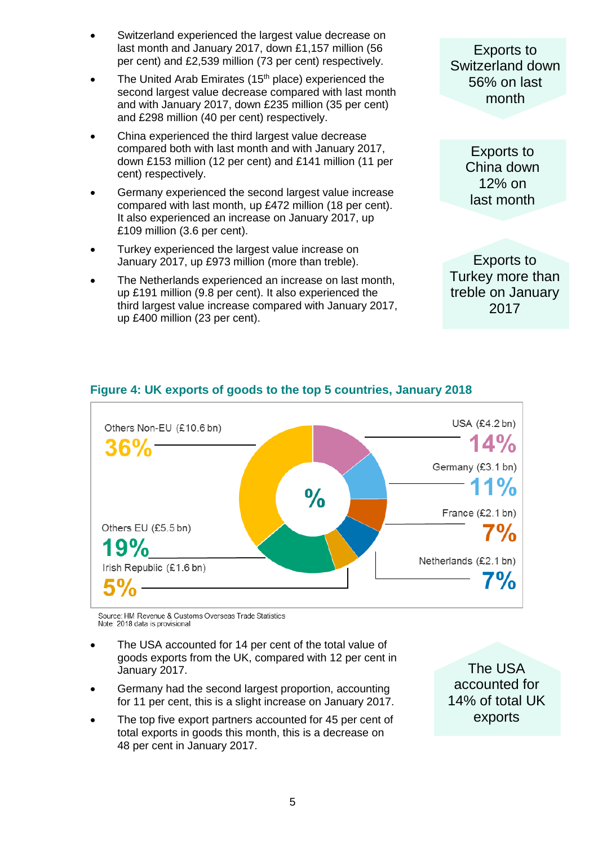- Switzerland experienced the largest value decrease on last month and January 2017, down £1,157 million (56 per cent) and £2,539 million (73 per cent) respectively.
- The United Arab Emirates (15<sup>th</sup> place) experienced the second largest value decrease compared with last month and with January 2017, down £235 million (35 per cent) and £298 million (40 per cent) respectively.
- China experienced the third largest value decrease compared both with last month and with January 2017, down £153 million (12 per cent) and £141 million (11 per cent) respectively.
- Germany experienced the second largest value increase compared with last month, up £472 million (18 per cent). It also experienced an increase on January 2017, up £109 million (3.6 per cent).
- Turkey experienced the largest value increase on January 2017, up £973 million (more than treble).
- The Netherlands experienced an increase on last month, up £191 million (9.8 per cent). It also experienced the third largest value increase compared with January 2017, up £400 million (23 per cent).

Exports to Switzerland down 56% on last month

> Exports to China down 12% on last month

Exports to Turkey more than treble on January 2017



# **Figure 4: UK exports of goods to the top 5 countries, January 2018**

Source: HM Revenue & Customs Overseas Trade Statistics Note: 2018 data is provisional

- The USA accounted for 14 per cent of the total value of goods exports from the UK, compared with 12 per cent in January 2017.
- Germany had the second largest proportion, accounting for 11 per cent, this is a slight increase on January 2017.
- The top five export partners accounted for 45 per cent of total exports in goods this month, this is a decrease on 48 per cent in January 2017.

The USA accounted for 14% of total UK exports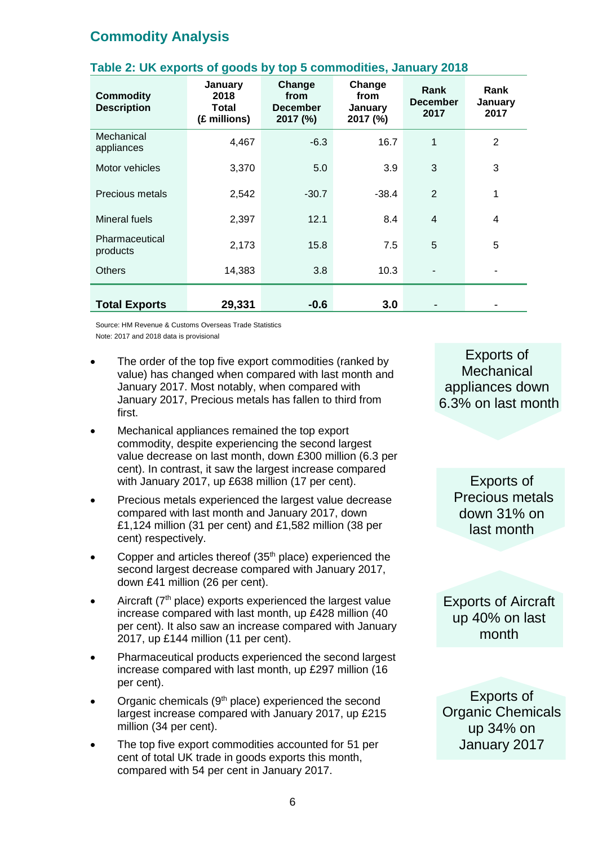# **Commodity Analysis**

| <b>Commodity</b><br><b>Description</b> | January<br>2018<br>Total<br>(£ millions) | Change<br>from<br><b>December</b><br>2017 (%) | Change<br>from<br>January<br>2017 (%) | Rank<br><b>December</b><br>2017 | Rank<br>January<br>2017 |
|----------------------------------------|------------------------------------------|-----------------------------------------------|---------------------------------------|---------------------------------|-------------------------|
| Mechanical<br>appliances               | 4,467                                    | $-6.3$                                        | 16.7                                  | 1                               | 2                       |
| Motor vehicles                         | 3,370                                    | 5.0                                           | 3.9                                   | 3                               | 3                       |
| Precious metals                        | 2,542                                    | $-30.7$                                       | $-38.4$                               | $\overline{2}$                  | 1                       |
| Mineral fuels                          | 2,397                                    | 12.1                                          | 8.4                                   | $\overline{4}$                  | 4                       |
| Pharmaceutical<br>products             | 2,173                                    | 15.8                                          | 7.5                                   | 5                               | 5                       |
| <b>Others</b>                          | 14,383                                   | 3.8                                           | 10.3                                  |                                 |                         |
| <b>Total Exports</b>                   | 29,331                                   | $-0.6$                                        | 3.0                                   |                                 |                         |

#### **Table 2: UK exports of goods by top 5 commodities, January 2018**

Source: HM Revenue & Customs Overseas Trade Statistics Note: 2017 and 2018 data is provisional

- The order of the top five export commodities (ranked by value) has changed when compared with last month and January 2017. Most notably, when compared with January 2017, Precious metals has fallen to third from first.
- Mechanical appliances remained the top export commodity, despite experiencing the second largest value decrease on last month, down £300 million (6.3 per cent). In contrast, it saw the largest increase compared with January 2017, up £638 million (17 per cent).
- Precious metals experienced the largest value decrease compared with last month and January 2017, down £1,124 million (31 per cent) and £1,582 million (38 per cent) respectively.
- Copper and articles thereof  $(35<sup>th</sup>$  place) experienced the second largest decrease compared with January 2017, down £41 million (26 per cent).
- Aircraft  $(7<sup>th</sup>$  place) exports experienced the largest value increase compared with last month, up £428 million (40 per cent). It also saw an increase compared with January 2017, up £144 million (11 per cent).
- Pharmaceutical products experienced the second largest increase compared with last month, up £297 million (16 per cent).
- Organic chemicals (9<sup>th</sup> place) experienced the second largest increase compared with January 2017, up £215 million (34 per cent).
- The top five export commodities accounted for 51 per cent of total UK trade in goods exports this month, compared with 54 per cent in January 2017.

Exports of **Mechanical** appliances down 6.3% on last month

> Exports of Precious metals down 31% on last month

Exports of Aircraft up 40% on last month

Exports of Organic Chemicals up 34% on January 2017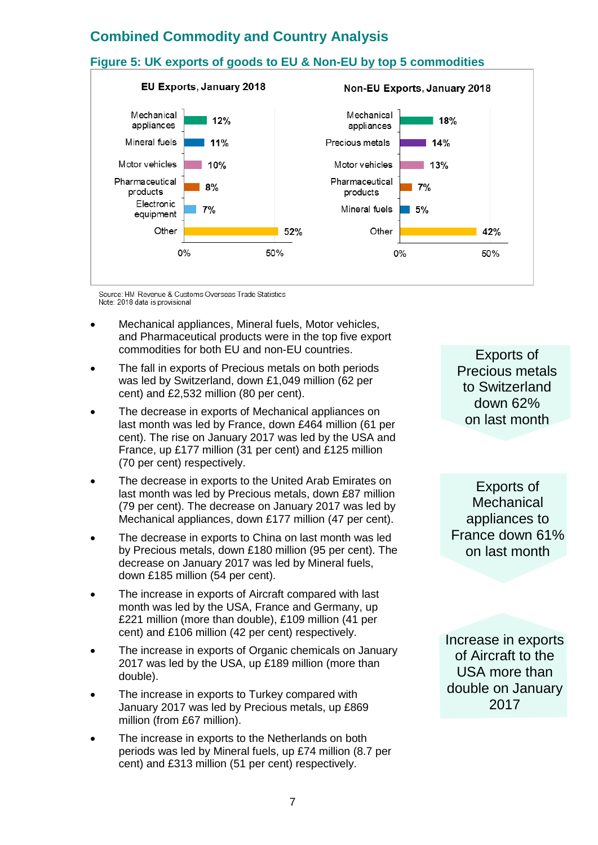# **Combined Commodity and Country Analysis**

#### **Figure 5: UK exports of goods to EU & Non-EU by top 5 commodities** EU Exports, January 2018 **Non-EU Exports, January 2018** Mechanical Mechanical  $12%$ 18% appliances appliances Mineral fuels Precious metals  $\blacksquare$  11%  $14%$ Motor vehicles  $10%$ Motor vehicles  $13%$ Pharmaceutical Pharmaceutical  $8%$  $7%$ products products Electronic  $7%$ Mineral fuels  $1.5%$ equipment Other 52% Other  $42%$  $0%$ 50%  $0%$ 50%

Source: HM Revenue & Customs Overseas Trade Statistics Note: 2018 data is provisional

- Mechanical appliances, Mineral fuels, Motor vehicles, and Pharmaceutical products were in the top five export commodities for both EU and non-EU countries.
- The fall in exports of Precious metals on both periods was led by Switzerland, down £1,049 million (62 per cent) and £2,532 million (80 per cent).
- The decrease in exports of Mechanical appliances on last month was led by France, down £464 million (61 per cent). The rise on January 2017 was led by the USA and France, up £177 million (31 per cent) and £125 million (70 per cent) respectively.
- The decrease in exports to the United Arab Emirates on last month was led by Precious metals, down £87 million (79 per cent). The decrease on January 2017 was led by Mechanical appliances, down £177 million (47 per cent).
- The decrease in exports to China on last month was led by Precious metals, down £180 million (95 per cent). The decrease on January 2017 was led by Mineral fuels, down £185 million (54 per cent).
- The increase in exports of Aircraft compared with last month was led by the USA, France and Germany, up £221 million (more than double), £109 million (41 per cent) and £106 million (42 per cent) respectively.
- The increase in exports of Organic chemicals on January 2017 was led by the USA, up £189 million (more than double).
- The increase in exports to Turkey compared with January 2017 was led by Precious metals, up £869 million (from £67 million).
- The increase in exports to the Netherlands on both periods was led by Mineral fuels, up £74 million (8.7 per cent) and £313 million (51 per cent) respectively.

Exports of Precious metals to Switzerland down 62% on last month

Exports of **Mechanical** appliances to France down 61% on last month

Increase in exports of Aircraft to the USA more than double on January 2017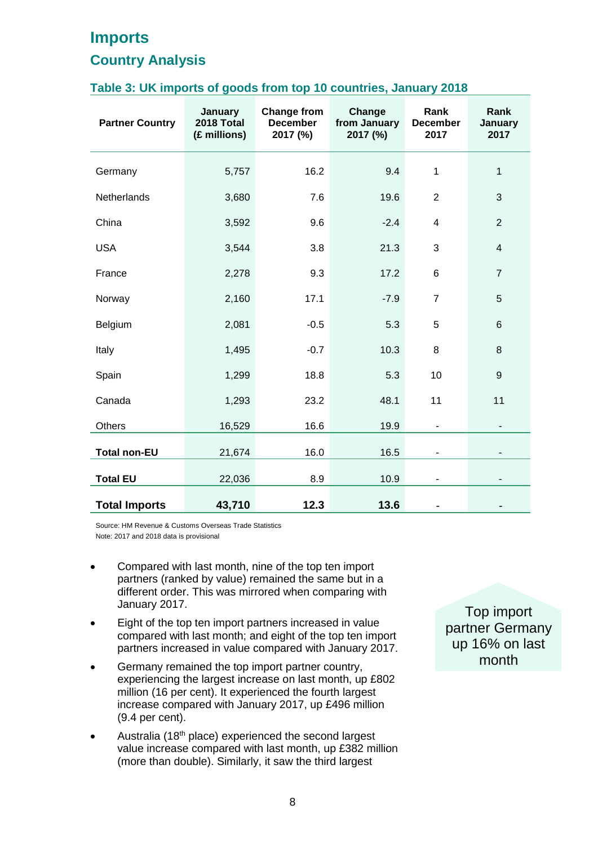# **Imports**

### **Country Analysis**

#### **Table 3: UK imports of goods from top 10 countries, January 2018**

| <b>Partner Country</b> | January<br>2018 Total<br>(£ millions) | <b>Change from</b><br><b>December</b><br>2017 (%) | Change<br>from January<br>2017 (%) | Rank<br><b>December</b><br>2017 | Rank<br>January<br>2017  |
|------------------------|---------------------------------------|---------------------------------------------------|------------------------------------|---------------------------------|--------------------------|
| Germany                | 5,757                                 | 16.2                                              | 9.4                                | $\mathbf{1}$                    | 1                        |
| Netherlands            | 3,680                                 | 7.6                                               | 19.6                               | $\overline{2}$                  | 3                        |
| China                  | 3,592                                 | 9.6                                               | $-2.4$                             | 4                               | $\overline{2}$           |
| <b>USA</b>             | 3,544                                 | 3.8                                               | 21.3                               | 3                               | $\overline{\mathbf{4}}$  |
| France                 | 2,278                                 | 9.3                                               | 17.2                               | 6                               | $\overline{7}$           |
| Norway                 | 2,160                                 | 17.1                                              | $-7.9$                             | $\overline{7}$                  | 5                        |
| Belgium                | 2,081                                 | $-0.5$                                            | 5.3                                | 5                               | 6                        |
| Italy                  | 1,495                                 | $-0.7$                                            | 10.3                               | 8                               | 8                        |
| Spain                  | 1,299                                 | 18.8                                              | 5.3                                | 10                              | 9                        |
| Canada                 | 1,293                                 | 23.2                                              | 48.1                               | 11                              | 11                       |
| <b>Others</b>          | 16,529                                | 16.6                                              | 19.9                               |                                 | $\overline{\phantom{a}}$ |
| <b>Total non-EU</b>    | 21,674                                | 16.0                                              | 16.5                               | -                               |                          |
| <b>Total EU</b>        | 22,036                                | 8.9                                               | 10.9                               |                                 |                          |
| <b>Total Imports</b>   | 43,710                                | 12.3                                              | 13.6                               |                                 |                          |

Source: HM Revenue & Customs Overseas Trade Statistics Note: 2017 and 2018 data is provisional

- Compared with last month, nine of the top ten import partners (ranked by value) remained the same but in a different order. This was mirrored when comparing with January 2017.
- Eight of the top ten import partners increased in value compared with last month; and eight of the top ten import partners increased in value compared with January 2017.
- Germany remained the top import partner country, experiencing the largest increase on last month, up £802 million (16 per cent). It experienced the fourth largest increase compared with January 2017, up £496 million (9.4 per cent).
- Australia (18<sup>th</sup> place) experienced the second largest value increase compared with last month, up £382 million (more than double). Similarly, it saw the third largest

Top import partner Germany up 16% on last month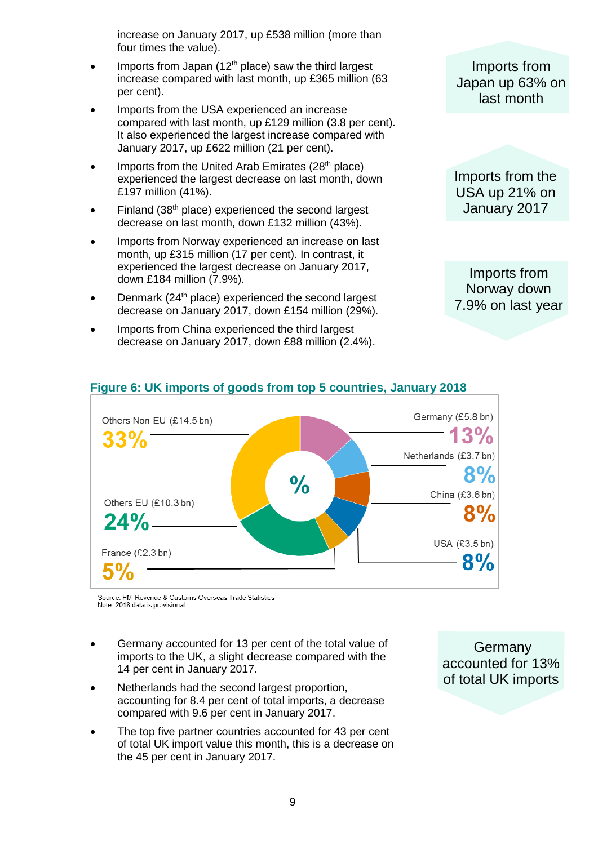increase on January 2017, up £538 million (more than four times the value).

- Imports from Japan (12<sup>th</sup> place) saw the third largest increase compared with last month, up £365 million (63 per cent).
- Imports from the USA experienced an increase compared with last month, up £129 million (3.8 per cent). It also experienced the largest increase compared with January 2017, up £622 million (21 per cent).
- $\bullet$  Imports from the United Arab Emirates (28<sup>th</sup> place) experienced the largest decrease on last month, down £197 million (41%).
- $\bullet$  Finland (38<sup>th</sup> place) experienced the second largest decrease on last month, down £132 million (43%).
- Imports from Norway experienced an increase on last month, up £315 million (17 per cent). In contrast, it experienced the largest decrease on January 2017, down £184 million (7.9%).
- Denmark (24<sup>th</sup> place) experienced the second largest decrease on January 2017, down £154 million (29%).
- Imports from China experienced the third largest decrease on January 2017, down £88 million (2.4%).

Imports from Japan up 63% on last month

Imports from the USA up 21% on January 2017

Imports from Norway down 7.9% on last year



#### **Figure 6: UK imports of goods from top 5 countries, January 2018**

Source: HM Revenue & Customs Overseas Trade Statistics Note: 2018 data is provisional

- Germany accounted for 13 per cent of the total value of imports to the UK, a slight decrease compared with the 14 per cent in January 2017.
- Netherlands had the second largest proportion, accounting for 8.4 per cent of total imports, a decrease compared with 9.6 per cent in January 2017.
- The top five partner countries accounted for 43 per cent of total UK import value this month, this is a decrease on the 45 per cent in January 2017.

**Germany** accounted for 13% of total UK imports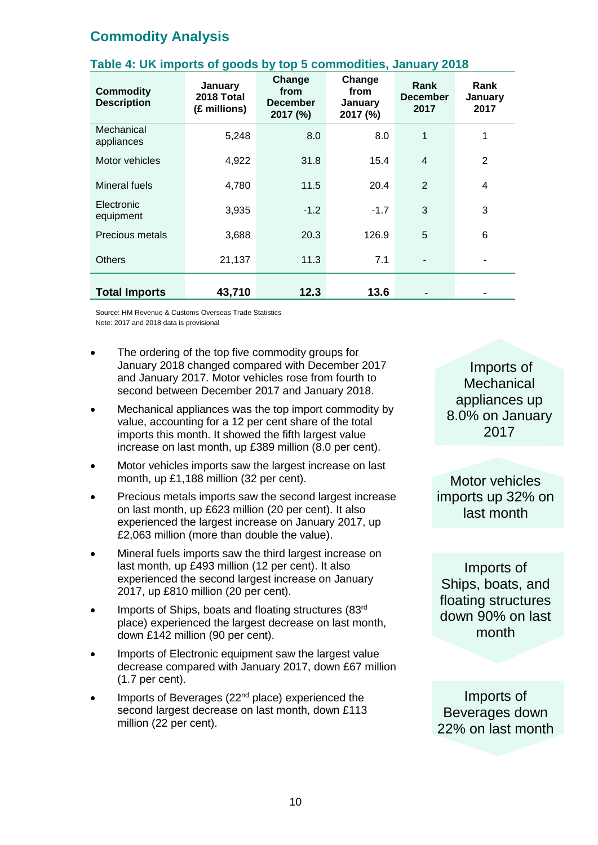# **Commodity Analysis**

| <b>Commodity</b><br><b>Description</b> | January<br>2018 Total<br>(£ millions) | Change<br>from<br><b>December</b><br>2017 (%) | Change<br>from<br>January<br>2017 (%) | Rank<br><b>December</b><br>2017 | Rank<br>January<br>2017 |
|----------------------------------------|---------------------------------------|-----------------------------------------------|---------------------------------------|---------------------------------|-------------------------|
| Mechanical<br>appliances               | 5,248                                 | 8.0                                           | 8.0                                   | 1                               | 1                       |
| Motor vehicles                         | 4,922                                 | 31.8                                          | 15.4                                  | $\overline{4}$                  | 2                       |
| Mineral fuels                          | 4,780                                 | 11.5                                          | 20.4                                  | $\overline{2}$                  | 4                       |
| Electronic<br>equipment                | 3,935                                 | $-1.2$                                        | $-1.7$                                | 3                               | 3                       |
| Precious metals                        | 3,688                                 | 20.3                                          | 126.9                                 | 5                               | 6                       |
| <b>Others</b>                          | 21,137                                | 11.3                                          | 7.1                                   |                                 |                         |
| <b>Total Imports</b>                   | 43,710                                | 12.3                                          | 13.6                                  |                                 |                         |

#### **Table 4: UK imports of goods by top 5 commodities, January 2018**

Source: HM Revenue & Customs Overseas Trade Statistics Note: 2017 and 2018 data is provisional

- The ordering of the top five commodity groups for January 2018 changed compared with December 2017 and January 2017. Motor vehicles rose from fourth to second between December 2017 and January 2018.
- Mechanical appliances was the top import commodity by value, accounting for a 12 per cent share of the total imports this month. It showed the fifth largest value increase on last month, up £389 million (8.0 per cent).
- Motor vehicles imports saw the largest increase on last month, up £1,188 million (32 per cent).
- Precious metals imports saw the second largest increase on last month, up £623 million (20 per cent). It also experienced the largest increase on January 2017, up £2,063 million (more than double the value).
- Mineral fuels imports saw the third largest increase on last month, up £493 million (12 per cent). It also experienced the second largest increase on January 2017, up £810 million (20 per cent).
- Imports of Ships, boats and floating structures (83rd place) experienced the largest decrease on last month, down £142 million (90 per cent).
- Imports of Electronic equipment saw the largest value decrease compared with January 2017, down £67 million (1.7 per cent).
- Imports of Beverages (22<sup>nd</sup> place) experienced the second largest decrease on last month, down £113 million (22 per cent).

Imports of **Mechanical** appliances up 8.0% on January 2017

Motor vehicles imports up 32% on last month

Imports of Ships, boats, and floating structures down 90% on last month

Imports of Beverages down 22% on last month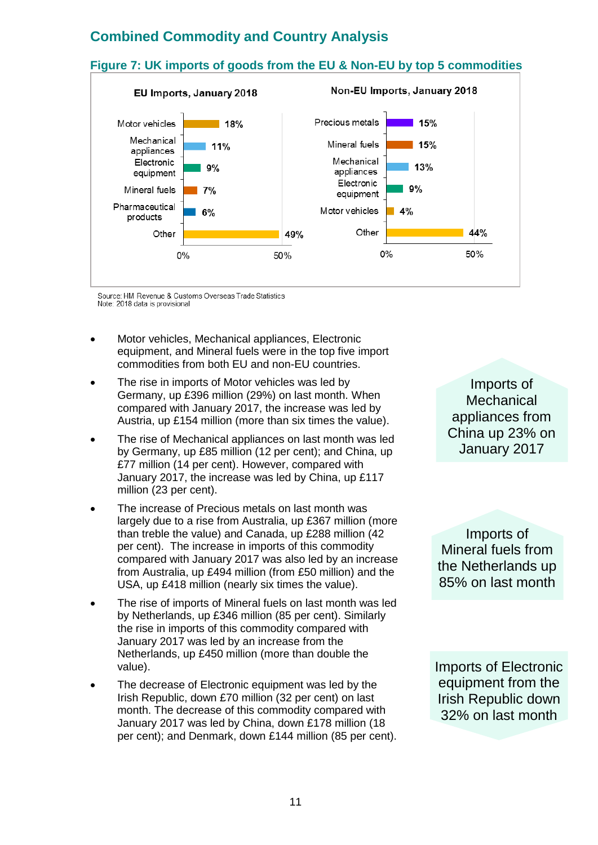# **Combined Commodity and Country Analysis**



Source: HM Revenue & Customs Overseas Trade Statistics Note: 2018 data is provisional

- Motor vehicles, Mechanical appliances, Electronic equipment, and Mineral fuels were in the top five import commodities from both EU and non-EU countries.
- The rise in imports of Motor vehicles was led by Germany, up £396 million (29%) on last month. When compared with January 2017, the increase was led by Austria, up £154 million (more than six times the value).
- The rise of Mechanical appliances on last month was led by Germany, up £85 million (12 per cent); and China, up £77 million (14 per cent). However, compared with January 2017, the increase was led by China, up £117 million (23 per cent).
- The increase of Precious metals on last month was largely due to a rise from Australia, up £367 million (more than treble the value) and Canada, up £288 million (42 per cent). The increase in imports of this commodity compared with January 2017 was also led by an increase from Australia, up £494 million (from £50 million) and the USA, up £418 million (nearly six times the value).
- The rise of imports of Mineral fuels on last month was led by Netherlands, up £346 million (85 per cent). Similarly the rise in imports of this commodity compared with January 2017 was led by an increase from the Netherlands, up £450 million (more than double the value).
- The decrease of Electronic equipment was led by the Irish Republic, down £70 million (32 per cent) on last month. The decrease of this commodity compared with January 2017 was led by China, down £178 million (18 per cent); and Denmark, down £144 million (85 per cent).

Imports of **Mechanical** appliances from China up 23% on January 2017

Imports of Mineral fuels from the Netherlands up 85% on last month

Imports of Electronic equipment from the Irish Republic down 32% on last month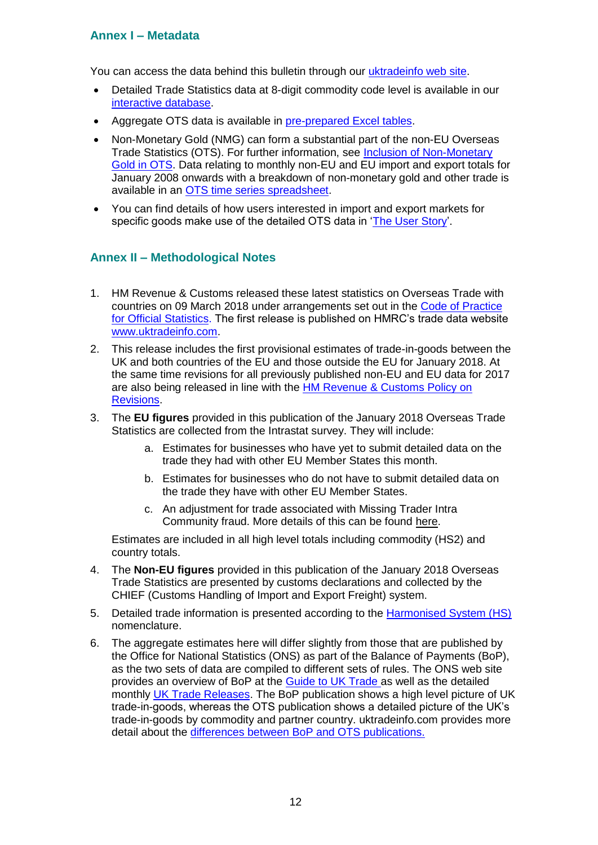#### **Annex I – Metadata**

You can access the data behind this bulletin through our [uktradeinfo web site.](https://www.uktradeinfo.com/Pages/Home.aspx)

- Detailed Trade Statistics data at 8-digit commodity code level is available in our [interactive database.](https://www.uktradeinfo.com/Statistics/BuildYourOwnTables/Pages/Home.aspx)
- Aggregate OTS data is available in [pre-prepared Excel tables.](https://www.uktradeinfo.com/Statistics/Pages/Monthly-Tables.aspx)
- Non-Monetary Gold (NMG) can form a substantial part of the non-EU Overseas Trade Statistics (OTS). For further information, see [Inclusion of Non-Monetary](https://www.uktradeinfo.com/Statistics/OverseasTradeStatistics/AboutOverseastradeStatistics/Pages/PoliciesandMethodologies.aspx)  [Gold in OTS.](https://www.uktradeinfo.com/Statistics/OverseasTradeStatistics/AboutOverseastradeStatistics/Pages/PoliciesandMethodologies.aspx) Data relating to monthly non-EU and EU import and export totals for January 2008 onwards with a breakdown of non-monetary gold and other trade is available in an [OTS time series spreadsheet.](https://www.uktradeinfo.com/Statistics/OverseasTradeStatistics/Documents/Gold_0118.xls)
- You can find details of how users interested in import and export markets for specific goods make use of the detailed OTS data in ['The User Story'](https://www.uktradeinfo.com/Statistics/OverseasTradeStatistics/AboutOverseastradeStatistics/User%20support/User_Story.pps).

#### **Annex II – Methodological Notes**

- 1. HM Revenue & Customs released these latest statistics on Overseas Trade with countries on 09 March 2018 under arrangements set out in the [Code of Practice](http://www.statisticsauthority.gov.uk/assessment/code-of-practice/index.html)  [for Official Statistics.](http://www.statisticsauthority.gov.uk/assessment/code-of-practice/index.html) The first release is published on HMRC's trade data website [www.uktradeinfo.com.](http://www.uktradeinfo.com/)
- 2. This release includes the first provisional estimates of trade-in-goods between the UK and both countries of the EU and those outside the EU for January 2018. At the same time revisions for all previously published non-EU and EU data for 2017 are also being released in line with the [HM Revenue & Customs Policy on](https://www.gov.uk/government/uploads/system/uploads/attachment_data/file/261364/cop-revisions.pdf)  [Revisions.](https://www.gov.uk/government/uploads/system/uploads/attachment_data/file/261364/cop-revisions.pdf)
- 3. The **EU figures** provided in this publication of the January 2018 Overseas Trade Statistics are collected from the Intrastat survey. They will include:
	- a. Estimates for businesses who have yet to submit detailed data on the trade they had with other EU Member States this month.
	- b. Estimates for businesses who do not have to submit detailed data on the trade they have with other EU Member States.
	- c. An adjustment for trade associated with Missing Trader Intra Community fraud. More details of this can be found [here.](https://www.uktradeinfo.com/statistics/noneuoverseastrade/aboutoverseastradestatistics/user%20support/oecd_mtic06.pdf)

Estimates are included in all high level totals including commodity (HS2) and country totals.

- 4. The **Non-EU figures** provided in this publication of the January 2018 Overseas Trade Statistics are presented by customs declarations and collected by the CHIEF (Customs Handling of Import and Export Freight) system.
- 5. Detailed trade information is presented according to the [Harmonised System \(HS\)](https://www.uktradeinfo.com/CodesAndGuides/GoodClassificationSystems/Pages/AboutHS.aspx) nomenclature.
- 6. The aggregate estimates here will differ slightly from those that are published by the Office for National Statistics (ONS) as part of the Balance of Payments (BoP), as the two sets of data are compiled to different sets of rules. The ONS web site provides an overview of BoP at the [Guide to UK Trade a](http://www.ons.gov.uk/ons/rel/uktrade/uk-trade/july-2011/guide-to-uk-trade.html)s well as the detailed monthly [UK Trade Releases.](http://www.ons.gov.uk/ons/publications/all-releases.html?definition=tcm%3A77-21861) The BoP publication shows a high level picture of UK trade-in-goods, whereas the OTS publication shows a detailed picture of the UK's trade-in-goods by commodity and partner country. uktradeinfo.com provides more detail about the [differences between BoP and OTS publications.](https://www.uktradeinfo.com/Statistics/Pages/Related-Data.aspx)